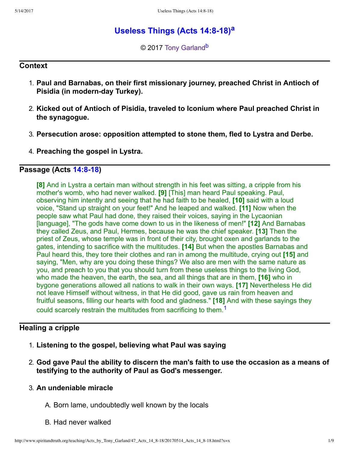# **Useless Things (Acts 14:8-18)**<sup>[a](#page-8-0)</sup>

<span id="page-0-3"></span><span id="page-0-2"></span>© 2017 [Tony Garland](http://www.spiritandtruth.org/id/tg.htm)<sup>[b](#page-8-1)</sup>

### **Context**

- 1. **Paul and Barnabas, on their first missionary journey, preached Christ in Antioch of Pisidia (in modern-day Turkey).**
- 2. **Kicked out of Antioch of Pisidia, traveled to Iconium where Paul preached Christ in the synagogue.**
- 3. **Persecution arose: opposition attempted to stone them, fled to Lystra and Derbe.**
- 4. **Preaching the gospel in Lystra.**

## **Passage (Acts 14:8-18)**

<span id="page-0-1"></span>**[8]** And in Lystra a certain man without strength in his feet was sitting, a cripple from his mother's womb, who had never walked. **[9]** [This] man heard Paul speaking. Paul, observing him intently and seeing that he had faith to be healed, **[10]** said with a loud voice, "Stand up straight on your feet!" And he leaped and walked. **[11]** Now when the people saw what Paul had done, they raised their voices, saying in the Lycaonian [language], "The gods have come down to us in the likeness of men!" **[12]** And Barnabas they called Zeus, and Paul, Hermes, because he was the chief speaker. **[13]** Then the priest of Zeus, whose temple was in front of their city, brought oxen and garlands to the gates, intending to sacrifice with the multitudes. **[14]** But when the apostles Barnabas and Paul heard this, they tore their clothes and ran in among the multitude, crying out **[15]** and saying, "Men, why are you doing these things? We also are men with the same nature as you, and preach to you that you should turn from these useless things to the living God, who made the heaven, the earth, the sea, and all things that are in them, **[16]** who in bygone generations allowed all nations to walk in their own ways. **[17]** Nevertheless He did not leave Himself without witness, in that He did good, gave us rain from heaven and fruitful seasons, filling our hearts with food and gladness." **[18]** And with these sayings they could scarcely restrain the multitudes from sacrificing to them.<sup>[1](#page-8-2)</sup>

# **Healing a cripple**

- <span id="page-0-0"></span>1. **Listening to the gospel, believing what Paul was saying**
- 2. **God gave Paul the ability to discern the man's faith to use the occasion as a means of testifying to the authority of Paul as God's messenger.**

## 3. **An undeniable miracle**

- A. Born lame, undoubtedly well known by the locals
- B. Had never walked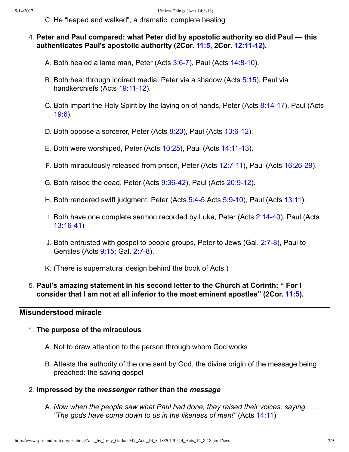- C. He "leaped and walked", a dramatic, complete healing
- 4. **Peter and Paul compared: what Peter did by apostolic authority so did Paul this authenticates Paul's apostolic authority (2Cor. [11:5,](http://www.spiritandtruth.org/bibles/nasb/b47c011.htm#2Cor._C11V5) 2Cor. [12:1112](http://www.spiritandtruth.org/bibles/nasb/b47c012.htm#2Cor._C12V11)).**
	- A. Both healed a lame man, Peter (Acts  $3:6-7$ ), Paul (Acts  $14:8-10$ ).
	- B. Both heal through indirect media, Peter via a shadow (Acts [5:15\)](http://www.spiritandtruth.org/bibles/nasb/b44c005.htm#Acts_C5V15), Paul via handkerchiefs (Acts 19:11-12).
	- C. Both impart the Holy Spirit by the laying on of hands, Peter (Acts 8:14-17), Paul (Acts [19:6\)](http://www.spiritandtruth.org/bibles/nasb/b44c019.htm#Acts_C19V6).
	- D. Both oppose a sorcerer, Peter (Acts [8:20\)](http://www.spiritandtruth.org/bibles/nasb/b44c008.htm#Acts_C8V20), Paul (Acts 13:6-12).
	- E. Both were worshiped, Peter (Acts [10:25](http://www.spiritandtruth.org/bibles/nasb/b44c010.htm#Acts_C10V25)), Paul (Acts 14:11-13).
	- F. Both miraculously released from prison, Peter (Acts 12:7-11), Paul (Acts 16:26-29).
	- G. Both raised the dead, Peter (Acts  $9:36-42$ ), Paul (Acts  $20:9-12$ ).
	- H. Both rendered swift judgment, Peter (Acts 5:4-5,Acts 5:9-10), Paul (Acts [13:11](http://www.spiritandtruth.org/bibles/nasb/b44c013.htm#Acts_C13V11)).
	- I. Both have one complete sermon recorded by Luke, Peter (Acts 2:14-40), Paul (Acts 13:16-41)
	- J. Both entrusted with gospel to people groups, Peter to Jews (Gal. 2:7-8), Paul to Gentiles (Acts [9:15;](http://www.spiritandtruth.org/bibles/nasb/b44c009.htm#Acts_C9V15) Gal. 2:7-8).
	- K. (There is supernatural design behind the book of Acts.)

### 5. **Paul's amazing statement in his second letter to the Church at Corinth: " For I consider that I am not at all inferior to the most eminent apostles" (2Cor. [11:5\)](http://www.spiritandtruth.org/bibles/nasb/b47c011.htm#2Cor._C11V5).**

### **Misunderstood miracle**

### 1. **The purpose of the miraculous**

- A. Not to draw attention to the person through whom God works
- B. Attests the authority of the one sent by God, the divine origin of the message being preached: the saving gospel

### 2. **Impressed by the** *messenger* **rather than the** *message*

A. *Now when the people saw what Paul had done, they raised their voices, saying . . . "The gods have come down to us in the likeness of men!"* (Acts [14:11\)](http://www.spiritandtruth.org/bibles/nasb/b44c014.htm#Acts_C14V11)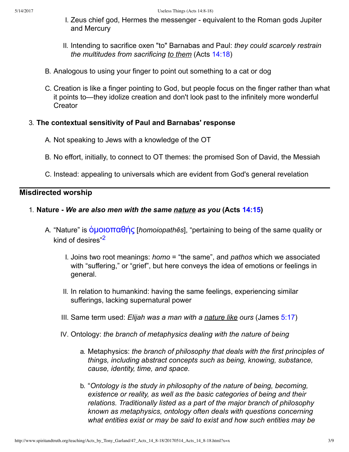- I. Zeus chief god, Hermes the messenger equivalent to the Roman gods Jupiter and Mercury
- II. Intending to sacrifice oxen "to" Barnabas and Paul: *they could scarcely restrain the multitudes from sacrificing to them* (Acts [14:18](http://www.spiritandtruth.org/bibles/nasb/b44c014.htm#Acts_C14V18))
- B. Analogous to using your finger to point out something to a cat or dog
- C. Creation is like a finger pointing to God, but people focus on the finger rather than what it points to—they idolize creation and don't look past to the infinitely more wonderful **Creator**

### 3. **The contextual sensitivity of Paul and Barnabas' response**

- A. Not speaking to Jews with a knowledge of the OT
- B. No effort, initially, to connect to OT themes: the promised Son of David, the Messiah
- C. Instead: appealing to universals which are evident from God's general revelation

## **Misdirected worship**

### 1. **Nature** *We are also men with the same nature as you* **(Acts [14:15](http://www.spiritandtruth.org/bibles/nasb/b44c014.htm#Acts_C14V15))**

- <span id="page-2-0"></span>A. "Nature" is [ὁμˬ˦ˬ˭α˥ής](http://www.spiritandtruth.org/fontsu/index.htm) [*homoiopathēs*], "pertaining to being of the same quality or kind of desires"<sup>[2](#page-8-3)</sup>
	- I. Joins two root meanings: *homo* = "the same", and *pathos* which we associated with "suffering," or "grief", but here conveys the idea of emotions or feelings in general.
	- II. In relation to humankind: having the same feelings, experiencing similar sufferings, lacking supernatural power
	- III. Same term used: *Elijah was a man with a nature like ours* (James [5:17](http://www.spiritandtruth.org/bibles/nasb/b59c005.htm#Jas._C5V17))
	- IV. Ontology: *the branch of metaphysics dealing with the nature of being*
		- a. Metaphysics: *the branch of philosophy that deals with the first principles of things, including abstract concepts such as being, knowing, substance, cause, identity, time, and space.*
		- b. "*Ontology is the study in philosophy of the nature of being, becoming, existence or reality, as well as the basic categories of being and their relations. Traditionally listed as a part of the major branch of philosophy known as metaphysics, ontology often deals with questions concerning what entities exist or may be said to exist and how such entities may be*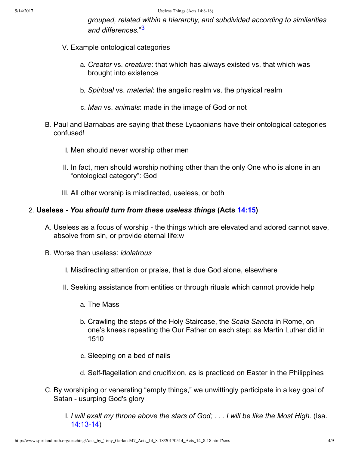<span id="page-3-0"></span>*grouped, related within a hierarchy, and subdivided according to similarities and differences.*" [3](#page-8-4)

- V. Example ontological categories
	- a. *Creator* vs. *creature*: that which has always existed vs. that which was brought into existence
	- b. *Spiritual* vs. *material*: the angelic realm vs. the physical realm
	- c. *Man* vs. *animals*: made in the image of God or not
- B. Paul and Barnabas are saying that these Lycaonians have their ontological categories confused!
	- I. Men should never worship other men
	- II. In fact, men should worship nothing other than the only One who is alone in an "ontological category": God
	- III. All other worship is misdirected, useless, or both

### 2. **Useless** *You should turn from these useless things* **(Acts [14:15\)](http://www.spiritandtruth.org/bibles/nasb/b44c014.htm#Acts_C14V15)**

- A. Useless as a focus of worship the things which are elevated and adored cannot save, absolve from sin, or provide eternal life:w
- B. Worse than useless: *idolatrous*
	- I. Misdirecting attention or praise, that is due God alone, elsewhere
	- II. Seeking assistance from entities or through rituals which cannot provide help
		- a. The Mass
		- b. Crawling the steps of the Holy Staircase, the *Scala Sancta* in Rome, on one's knees repeating the Our Father on each step: as Martin Luther did in 1510
		- c. Sleeping on a bed of nails
		- d. Self-flagellation and crucifixion, as is practiced on Easter in the Philippines
- C. By worshiping or venerating "empty things," we unwittingly participate in a key goal of Satan - usurping God's glory
	- I. *I will exalt my throne above the stars of God; . . . I will be like the Most High.* (Isa. 14:13-14)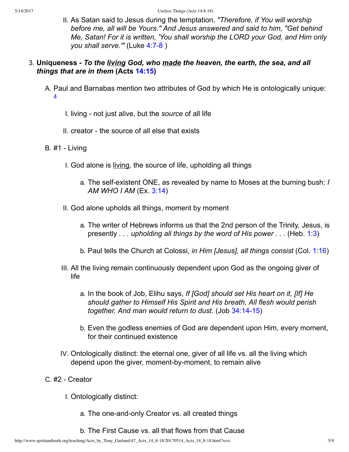II. As Satan said to Jesus during the temptation, *"Therefore, if You will worship before me, all will be Yours." And Jesus answered and said to him, "Get behind Me, Satan! For it is written, 'You shall worship the LORD your God, and Him only you shall serve.'"* (Luke 4:7-8)

### 3. **Uniqueness** *To the living God, who made the heaven, the earth, the sea, and all things that are in them* **(Acts [14:15\)](http://www.spiritandtruth.org/bibles/nasb/b44c014.htm#Acts_C14V15)**

- <span id="page-4-0"></span>A. Paul and Barnabas mention two attributes of God by which He is ontologically unique: [4](#page-8-5)
	- I. living not just alive, but the *source* of all life
	- II. creator the source of all else that exists
- B. #1 Living
	- I. God alone is living, the source of life, upholding all things
		- a. The self-existent ONE, as revealed by name to Moses at the burning bush: *I AM WHO I AM* (Ex. [3:14\)](http://www.spiritandtruth.org/bibles/nasb/b02c003.htm#Ex._C3V14)
	- II. God alone upholds all things, moment by moment
		- a. The writer of Hebrews informs us that the 2nd person of the Trinity, Jesus, is presently *. . . upholding all things by the word of His power . . .* (Heb. [1:3](http://www.spiritandtruth.org/bibles/nasb/b58c001.htm#Heb._C1V3))
		- b. Paul tells the Church at Colossi, *in Him [Jesus], all things consist* (Col. [1:16\)](http://www.spiritandtruth.org/bibles/nasb/b51c001.htm#Col._C1V16)
	- III. All the living remain continuously dependent upon God as the ongoing giver of life
		- a. In the book of Job, Elihu says, *If [God] should set His heart on it, [If] He should gather to Himself His Spirit and His breath, All flesh would perish together, And man would return to dust.* (Job 34:14-15)
		- b. Even the godless enemies of God are dependent upon Him, every moment, for their continued existence
	- IV. Ontologically distinct: the eternal one, giver of all life vs. all the living which depend upon the giver, moment-by-moment, to remain alive
- C. #2 Creator
	- I. Ontologically distinct:
		- a. The one-and-only Creator vs. all created things
		- b. The First Cause vs. all that flows from that Cause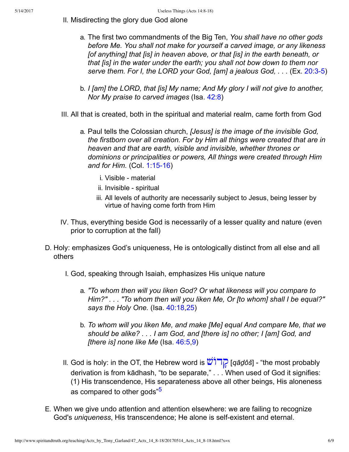- II. Misdirecting the glory due God alone
	- a. The first two commandments of the Big Ten, *You shall have no other gods before Me. You shall not make for yourself a carved image, or any likeness [of anything] that [is] in heaven above, or that [is] in the earth beneath, or that [is] in the water under the earth; you shall not bow down to them nor serve them. For I, the LORD your God, [am] a jealous God, ...* (Ex. 20:3-5)
	- b. *I [am] the LORD, that [is] My name; And My glory I will not give to another, Nor My praise to carved images* (Isa. [42:8](http://www.spiritandtruth.org/bibles/nasb/b23c042.htm#Isa._C42V8))
- III. All that is created, both in the spiritual and material realm, came forth from God
	- a. Paul tells the Colossian church, *[Jesus] is the image of the invisible God, the firstborn over all creation. For by Him all things were created that are in heaven and that are earth, visible and invisible, whether thrones or dominions or principalities or powers, All things were created through Him and for Him.* (Col. 1:15-16)
		- i. Visible material
		- ii. Invisible spiritual
		- iii. All levels of authority are necessarily subject to Jesus, being lesser by virtue of having come forth from Him
- IV. Thus, everything beside God is necessarily of a lesser quality and nature (even prior to corruption at the fall)
- D. Holy: emphasizes God's uniqueness, He is ontologically distinct from all else and all others
	- I. God, speaking through Isaiah, emphasizes His unique nature
		- a. *"To whom then will you liken God? Or what likeness will you compare to Him?" . . . "To whom then will you liken Me, Or [to whom] shall I be equal?" says the Holy One.* (Isa. [40:18,](http://www.spiritandtruth.org/bibles/nasb/b23c040.htm#Isa._C40V18)[25](http://www.spiritandtruth.org/bibles/nasb/b23c040.htm#Isa._C40V25))
		- b. *To whom will you liken Me, and make [Me] equal And compare Me, that we should be alike? . . . I am God, and [there is] no other; I [am] God, and [there is] none like Me* (Isa. [46:5,](http://www.spiritandtruth.org/bibles/nasb/b23c046.htm#Isa._C46V5)[9\)](http://www.spiritandtruth.org/bibles/nasb/b23c046.htm#Isa._C46V9)
	- II. God is holy: in the OT, the Hebrew word is [דוֹשׁ ָק](http://www.spiritandtruth.org/fontsu/index.htm) ]*qāḏôš*] "the most probably derivation is from kādhash, "to be separate," . . . When used of God it signifies: (1) His transcendence, His separateness above all other beings, His aloneness as compared to other gods"<sup>[5](#page-8-6)</sup>
- <span id="page-5-0"></span>E. When we give undo attention and attention elsewhere: we are failing to recognize God's *uniqueness*, His transcendence; He alone is self-existent and eternal.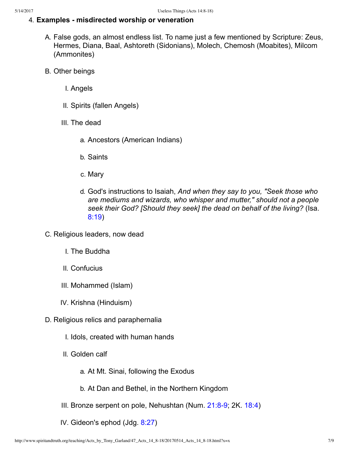### 4. **Examples misdirected worship or veneration**

- A. False gods, an almost endless list. To name just a few mentioned by Scripture: Zeus, Hermes, Diana, Baal, Ashtoreth (Sidonians), Molech, Chemosh (Moabites), Milcom (Ammonites)
- B. Other beings
	- I. Angels
	- II. Spirits (fallen Angels)
	- III. The dead
		- a. Ancestors (American Indians)
		- b. Saints
		- c. Mary
		- d. God's instructions to Isaiah, *And when they say to you, "Seek those who are mediums and wizards, who whisper and mutter," should not a people seek their God? [Should they seek] the dead on behalf of the living?* (Isa. [8:19\)](http://www.spiritandtruth.org/bibles/nasb/b23c008.htm#Isa._C8V19)
- C. Religious leaders, now dead
	- I. The Buddha
	- II. Confucius
	- III. Mohammed (Islam)
	- IV. Krishna (Hinduism)
- D. Religious relics and paraphernalia
	- I. Idols, created with human hands
	- II. Golden calf
		- a. At Mt. Sinai, following the Exodus
		- b. At Dan and Bethel, in the Northern Kingdom
	- III. Bronze serpent on pole, Nehushtan (Num.  $21:8-9$ ; 2K.  $18:4$ )
	- IV. Gideon's ephod (Jdg. [8:27](http://www.spiritandtruth.org/bibles/nasb/b07c008.htm#Jdg._C8V27))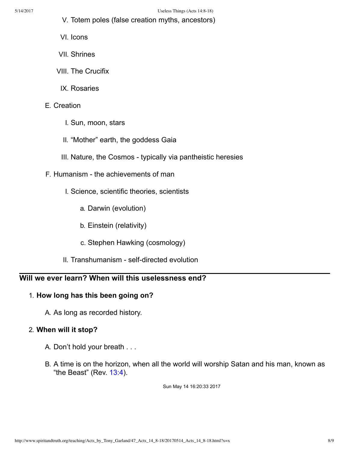- V. Totem poles (false creation myths, ancestors)
- VI. Icons
- VII. Shrines
- VIII. The Crucifix
	- IX. Rosaries

### E. Creation

- I. Sun, moon, stars
- II. "Mother" earth, the goddess Gaia
- III. Nature, the Cosmos typically via pantheistic heresies
- F. Humanism the achievements of man
	- I. Science, scientific theories, scientists
		- a. Darwin (evolution)
		- b. Einstein (relativity)
		- c. Stephen Hawking (cosmology)
	- II. Transhumanism self-directed evolution

### **Will we ever learn? When will this uselessness end?**

### 1. **How long has this been going on?**

A. As long as recorded history.

#### 2. **When will it stop?**

- A. Don't hold your breath . . .
- B. A time is on the horizon, when all the world will worship Satan and his man, known as "the Beast" (Rev.  $13:4$ ).

Sun May 14 16:20:33 2017